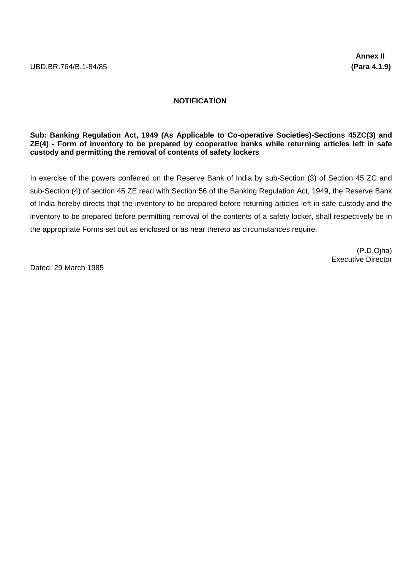## **NOTIFICATION**

## **Sub: Banking Regulation Act, 1949 (As Applicable to Co-operative Societies)-Sections 45ZC(3) and ZE(4) - Form of inventory to be prepared by cooperative banks while returning articles left in safe custody and permitting the removal of contents of safety lockers**

In exercise of the powers conferred on the Reserve Bank of India by sub-Section (3) of Section 45 ZC and sub-Section (4) of section 45 ZE read with Section 56 of the Banking Regulation Act, 1949, the Reserve Bank of India hereby directs that the inventory to be prepared before returning articles left in safe custody and the inventory to be prepared before permitting removal of the contents of a safety locker, shall respectively be in the appropriate Forms set out as enclosed or as near thereto as circumstances require.

> (P.D.Ojha) Executive Director

Dated: 29 March 1985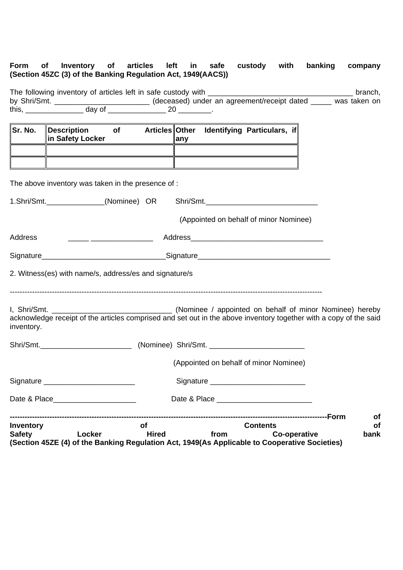## **Form of Inventory of articles left in safe custody with banking company (Section 45ZC (3) of the Banking Regulation Act, 1949(AACS))**

|                                   |                                                                                                                                                                                                                                      |                                                        | The following inventory of articles left in safe custody with __________________                                                                                                | branch,                 |
|-----------------------------------|--------------------------------------------------------------------------------------------------------------------------------------------------------------------------------------------------------------------------------------|--------------------------------------------------------|---------------------------------------------------------------------------------------------------------------------------------------------------------------------------------|-------------------------|
|                                   |                                                                                                                                                                                                                                      |                                                        | by Shri/Smt. ______________ day of ______________ (deceased) under an agreement/receipt dated ______ was taken on<br>this, _______________ day of ________________ 20 ________. |                         |
|                                   |                                                                                                                                                                                                                                      |                                                        |                                                                                                                                                                                 |                         |
| Sr. No.                           | in Safety Locker                                                                                                                                                                                                                     |                                                        | ∥Description of Articles∥Other Identifying Particulars, if<br>$\ $ any                                                                                                          |                         |
|                                   |                                                                                                                                                                                                                                      | The above inventory was taken in the presence of :     | <u> 1989 - Johann Stoff, deutscher Stoff, der Stoff, deutscher Stoff, der Stoff, der Stoff, der Stoff, der Stoff</u>                                                            |                         |
|                                   |                                                                                                                                                                                                                                      |                                                        | 1.Shri/Smt.______________(Nominee) OR Shri/Smt._________________________________                                                                                                |                         |
|                                   |                                                                                                                                                                                                                                      |                                                        | (Appointed on behalf of minor Nominee)                                                                                                                                          |                         |
| Address                           |                                                                                                                                                                                                                                      |                                                        |                                                                                                                                                                                 |                         |
|                                   |                                                                                                                                                                                                                                      |                                                        |                                                                                                                                                                                 |                         |
|                                   |                                                                                                                                                                                                                                      | 2. Witness(es) with name/s, address/es and signature/s |                                                                                                                                                                                 |                         |
| inventory.                        |                                                                                                                                                                                                                                      |                                                        | acknowledge receipt of the articles comprised and set out in the above inventory together with a copy of the said                                                               |                         |
|                                   |                                                                                                                                                                                                                                      |                                                        | Shri/Smt._________________________________(Nominee) Shri/Smt. ___________________                                                                                               |                         |
|                                   |                                                                                                                                                                                                                                      |                                                        | (Appointed on behalf of minor Nominee)                                                                                                                                          |                         |
|                                   | Signature ___________________________                                                                                                                                                                                                |                                                        |                                                                                                                                                                                 |                         |
|                                   | Date & Place <b>Date of Allen Contract Contract Contract Contract Contract Contract Contract Contract Contract Contract Contract Contract Contract Contract Contract Contract Contract Contract Contract Contract Contract Contr</b> |                                                        |                                                                                                                                                                                 |                         |
| <b>Inventory</b><br><b>Safety</b> | Locker                                                                                                                                                                                                                               | <b>of</b><br><b>Hired</b>                              | <b>Contents</b><br><b>Co-operative</b><br>from<br>(Section 45ZE (4) of the Banking Regulation Act, 1949(As Applicable to Cooperative Societies)                                 | of<br><b>of</b><br>bank |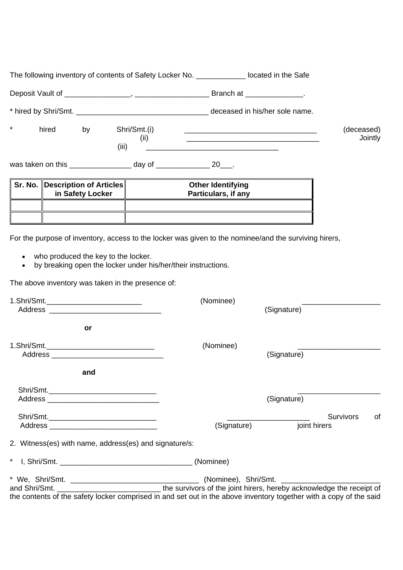| $\star$<br>hired<br>by<br>(iii)                                                                                                                                                                   | Shri/Smt.(i)<br>(ii)                                          |             | (deceased)                       | Jointly |
|---------------------------------------------------------------------------------------------------------------------------------------------------------------------------------------------------|---------------------------------------------------------------|-------------|----------------------------------|---------|
| was taken on this ______________________ day of ___________________ 20____.                                                                                                                       |                                                               |             |                                  |         |
| Sr. No.   Description of Articles <br>in Safety Locker                                                                                                                                            | <b>Other Identifying</b><br>Particulars, if any               |             |                                  |         |
| For the purpose of inventory, access to the locker was given to the nominee/and the surviving hirers,<br>who produced the key to the locker.<br>The above inventory was taken in the presence of: | by breaking open the locker under his/her/their instructions. |             |                                  |         |
| 1.Shri/Smt.______________________________                                                                                                                                                         | (Nominee)                                                     | (Signature) |                                  |         |
| or                                                                                                                                                                                                |                                                               |             |                                  |         |
|                                                                                                                                                                                                   | (Nominee)                                                     | (Signature) |                                  |         |
| and                                                                                                                                                                                               |                                                               |             |                                  |         |
|                                                                                                                                                                                                   |                                                               | (Signature) |                                  |         |
|                                                                                                                                                                                                   |                                                               | (Signature) | <b>Survivors</b><br>joint hirers | of      |
| 2. Witness(es) with name, address(es) and signature/s:                                                                                                                                            |                                                               |             |                                  |         |
| $\star$                                                                                                                                                                                           |                                                               |             |                                  |         |
| the contents of the safety locker comprised in and set out in the above inventory together with a copy of the said                                                                                |                                                               |             |                                  |         |

The following inventory of contents of Safety Locker No. \_\_\_\_\_\_\_\_\_\_\_\_ located in the Safe